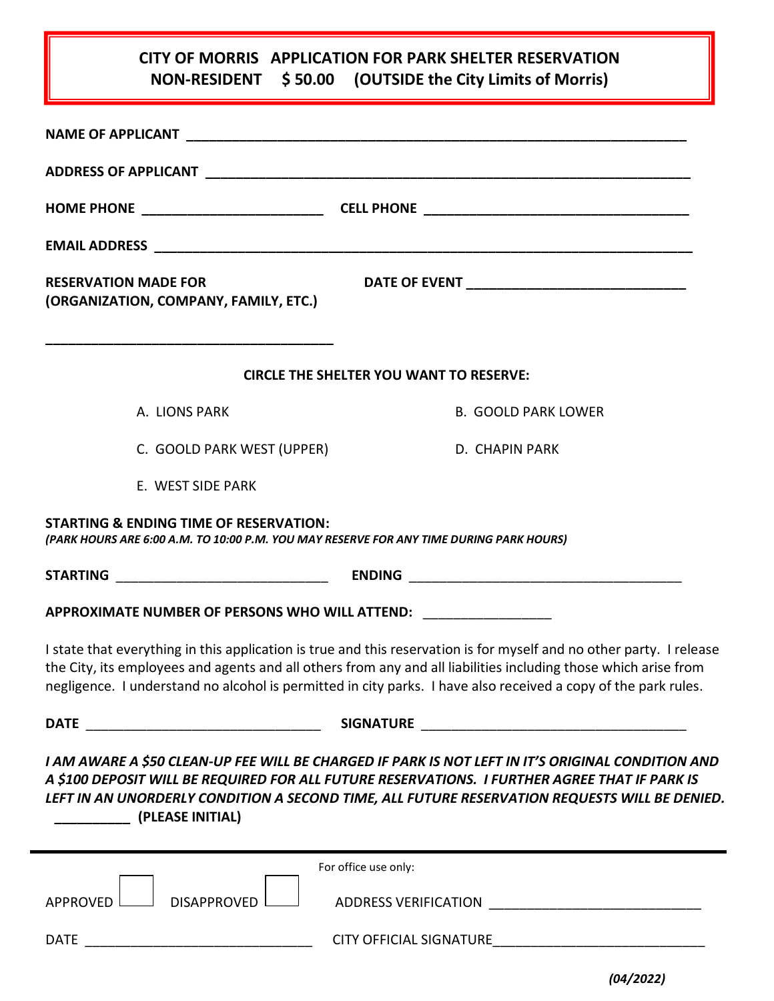## **CITY OF MORRIS APPLICATION FOR PARK SHELTER RESERVATION NON-RESIDENT \$ 50.00 (OUTSIDE the City Limits of Morris)**

| <b>RESERVATION MADE FOR</b><br>(ORGANIZATION, COMPANY, FAMILY, ETC.)                                                                         |                                                                                                                                                                                                                                                                                                                                                           |
|----------------------------------------------------------------------------------------------------------------------------------------------|-----------------------------------------------------------------------------------------------------------------------------------------------------------------------------------------------------------------------------------------------------------------------------------------------------------------------------------------------------------|
|                                                                                                                                              | <b>CIRCLE THE SHELTER YOU WANT TO RESERVE:</b>                                                                                                                                                                                                                                                                                                            |
| A. LIONS PARK                                                                                                                                | <b>B. GOOLD PARK LOWER</b>                                                                                                                                                                                                                                                                                                                                |
| C. GOOLD PARK WEST (UPPER)                                                                                                                   | D. CHAPIN PARK                                                                                                                                                                                                                                                                                                                                            |
| E. WEST SIDE PARK                                                                                                                            |                                                                                                                                                                                                                                                                                                                                                           |
| <b>STARTING &amp; ENDING TIME OF RESERVATION:</b><br>(PARK HOURS ARE 6:00 A.M. TO 10:00 P.M. YOU MAY RESERVE FOR ANY TIME DURING PARK HOURS) |                                                                                                                                                                                                                                                                                                                                                           |
|                                                                                                                                              |                                                                                                                                                                                                                                                                                                                                                           |
| APPROXIMATE NUMBER OF PERSONS WHO WILL ATTEND: ____________________                                                                          |                                                                                                                                                                                                                                                                                                                                                           |
|                                                                                                                                              | I state that everything in this application is true and this reservation is for myself and no other party. I release<br>the City, its employees and agents and all others from any and all liabilities including those which arise from<br>negligence. I understand no alcohol is permitted in city parks. I have also received a copy of the park rules. |
|                                                                                                                                              |                                                                                                                                                                                                                                                                                                                                                           |
| (PLEASE INITIAL)                                                                                                                             | I AM AWARE A \$50 CLEAN-UP FEE WILL BE CHARGED IF PARK IS NOT LEFT IN IT'S ORIGINAL CONDITION AND<br>A \$100 DEPOSIT WILL BE REQUIRED FOR ALL FUTURE RESERVATIONS. I FURTHER AGREE THAT IF PARK IS<br>LEFT IN AN UNORDERLY CONDITION A SECOND TIME, ALL FUTURE RESERVATION REQUESTS WILL BE DENIED.                                                       |
|                                                                                                                                              | For office use only:                                                                                                                                                                                                                                                                                                                                      |
| <b>DISAPPROVED</b><br>APPROVED L                                                                                                             |                                                                                                                                                                                                                                                                                                                                                           |
| <b>DATE</b>                                                                                                                                  | CITY OFFICIAL SIGNATURE <b>EXECUTE AND THE SET OF STATE</b>                                                                                                                                                                                                                                                                                               |

*(04/2022)*